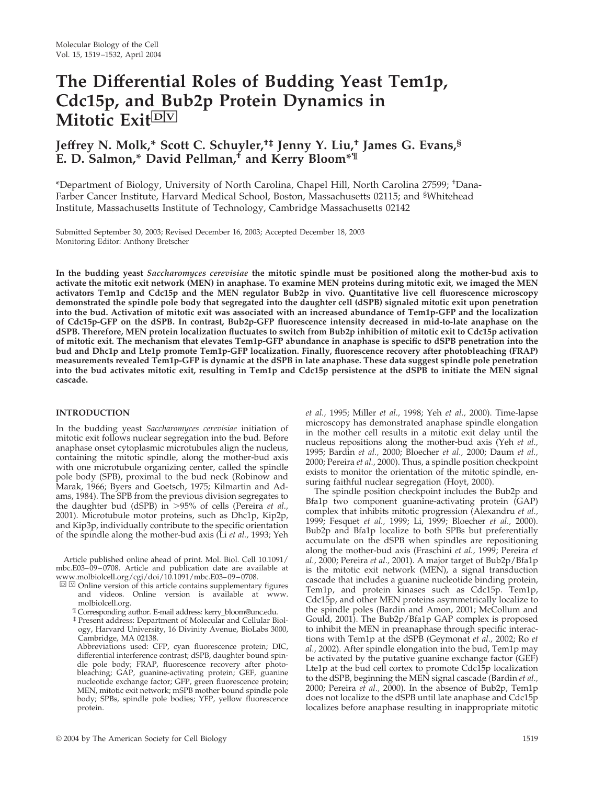# **The Differential Roles of Budding Yeast Tem1p, Cdc15p, and Bub2p Protein Dynamics in Mitotic Exit**<sup>DV</sup>

# **Jeffrey N. Molk,\* Scott C. Schuyler,†‡ Jenny Y. Liu,† James G. Evans,§ E. D. Salmon,\* David Pellman,† and Kerry Bloom\*¶**

\*Department of Biology, University of North Carolina, Chapel Hill, North Carolina 27599; † Dana-Farber Cancer Institute, Harvard Medical School, Boston, Massachusetts 02115; and <sup>§</sup>Whitehead Institute, Massachusetts Institute of Technology, Cambridge Massachusetts 02142

Submitted September 30, 2003; Revised December 16, 2003; Accepted December 18, 2003 Monitoring Editor: Anthony Bretscher

**In the budding yeast** *Saccharomyces cerevisiae* **the mitotic spindle must be positioned along the mother-bud axis to activate the mitotic exit network (MEN) in anaphase. To examine MEN proteins during mitotic exit, we imaged the MEN activators Tem1p and Cdc15p and the MEN regulator Bub2p in vivo. Quantitative live cell fluorescence microscopy demonstrated the spindle pole body that segregated into the daughter cell (dSPB) signaled mitotic exit upon penetration into the bud. Activation of mitotic exit was associated with an increased abundance of Tem1p-GFP and the localization of Cdc15p-GFP on the dSPB. In contrast, Bub2p-GFP fluorescence intensity decreased in mid-to-late anaphase on the dSPB. Therefore, MEN protein localization fluctuates to switch from Bub2p inhibition of mitotic exit to Cdc15p activation of mitotic exit. The mechanism that elevates Tem1p-GFP abundance in anaphase is specific to dSPB penetration into the bud and Dhc1p and Lte1p promote Tem1p-GFP localization. Finally, fluorescence recovery after photobleaching (FRAP) measurements revealed Tem1p-GFP is dynamic at the dSPB in late anaphase. These data suggest spindle pole penetration into the bud activates mitotic exit, resulting in Tem1p and Cdc15p persistence at the dSPB to initiate the MEN signal cascade.**

# **INTRODUCTION**

In the budding yeast *Saccharomyces cerevisiae* initiation of mitotic exit follows nuclear segregation into the bud. Before anaphase onset cytoplasmic microtubules align the nucleus, containing the mitotic spindle, along the mother-bud axis with one microtubule organizing center, called the spindle pole body (SPB), proximal to the bud neck (Robinow and Marak, 1966; Byers and Goetsch, 1975; Kilmartin and Adams, 1984). The SPB from the previous division segregates to the daughter bud (dSPB) in 95% of cells (Pereira *et al.,* 2001). Microtubule motor proteins, such as Dhc1p, Kip2p, and Kip3p, individually contribute to the specific orientation of the spindle along the mother-bud axis (Li *et al.,* 1993; Yeh

Article published online ahead of print. Mol. Biol. Cell 10.1091/ mbc.E03–09–0708. Article and publication date are available at www.molbiolcell.org/cgi/doi/10.1091/mbc.E03–09–0708.

- $\Box$   $\Box$  Online version of this article contains supplementary figures and videos. Online version is available at www. molbiolcell.org.
	- ¶ Corresponding author. E-mail address: kerry\_bloom@unc.edu.
	- ‡ Present address: Department of Molecular and Cellular Biology, Harvard University, 16 Divinity Avenue, BioLabs 3000, Cambridge, MA 02138.

Abbreviations used: CFP, cyan fluorescence protein; DIC, differential interference contrast; dSPB, daughter bound spindle pole body; FRAP, fluorescence recovery after photobleaching; GAP, guanine-activating protein; GEF, guanine nucleotide exchange factor; GFP, green fluorescence protein; MEN, mitotic exit network; mSPB mother bound spindle pole body; SPBs, spindle pole bodies; YFP, yellow fluorescence protein.

*et al.,* 1995; Miller *et al.,* 1998; Yeh *et al.,* 2000). Time-lapse microscopy has demonstrated anaphase spindle elongation in the mother cell results in a mitotic exit delay until the nucleus repositions along the mother-bud axis (Yeh *et al.,* 1995; Bardin *et al.,* 2000; Bloecher *et al.,* 2000; Daum *et al.,* 2000; Pereira *et al.,* 2000). Thus, a spindle position checkpoint exists to monitor the orientation of the mitotic spindle, ensuring faithful nuclear segregation (Hoyt, 2000).

The spindle position checkpoint includes the Bub2p and Bfa1p two component guanine-activating protein (GAP) complex that inhibits mitotic progression (Alexandru *et al.,* 1999; Fesquet *et al.,* 1999; Li, 1999; Bloecher *et al.,* 2000). Bub2p and Bfa1p localize to both SPBs but preferentially accumulate on the dSPB when spindles are repositioning along the mother-bud axis (Fraschini *et al.,* 1999; Pereira *et al.,* 2000; Pereira *et al.,* 2001). A major target of Bub2p/Bfa1p is the mitotic exit network (MEN), a signal transduction cascade that includes a guanine nucleotide binding protein, Tem1p, and protein kinases such as Cdc15p. Tem1p, Cdc15p, and other MEN proteins asymmetrically localize to the spindle poles (Bardin and Amon, 2001; McCollum and Gould, 2001). The Bub2p/Bfa1p GAP complex is proposed to inhibit the MEN in preanaphase through specific interactions with Tem1p at the dSPB (Geymonat *et al.,* 2002; Ro *et al.,* 2002). After spindle elongation into the bud, Tem1p may be activated by the putative guanine exchange factor (GEF) Lte1p at the bud cell cortex to promote Cdc15p localization to the dSPB, beginning the MEN signal cascade (Bardin *et al.,* 2000; Pereira *et al.,* 2000). In the absence of Bub2p, Tem1p does not localize to the dSPB until late anaphase and Cdc15p localizes before anaphase resulting in inappropriate mitotic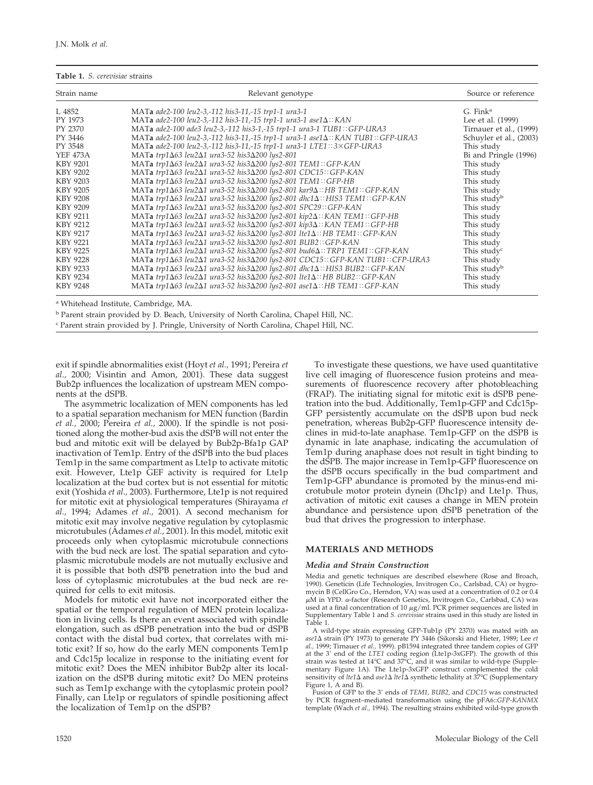#### **Table 1.** *S. cerevisiae* strains

| Strain name     | Relevant genotype                                                                                             | Source or reference     |  |  |
|-----------------|---------------------------------------------------------------------------------------------------------------|-------------------------|--|--|
| L 4852          | MATa ade2-100 leu2-3,-112 his3-11,-15 trp1-1 ura3-1                                                           | G. Fink <sup>a</sup>    |  |  |
| PY 1973         | MATa ade2-100 leu2-3,-112 his3-11,-15 trp1-1 ura3-1 ase1 $\Delta$ ::KAN                                       | Lee et al. (1999)       |  |  |
| PY 2370         | MATa ade2-100 ade3 leu2-3,-112 his3-1,-15 trp1-1 ura3-1 TUB1::GFP-URA3                                        | Tirnauer et al., (1999) |  |  |
| PY 3446         | MATa ade2-100 leu2-3,-112 his3-11,-15 trp1-1 ura3-1 ase1 $\Delta$ :: KAN TUB1:: GFP-URA3                      | Schuyler et al., (2003) |  |  |
| PY 3548         | MATa ade2-100 leu2-3,-112 his3-11,-15 trp1-1 ura3-1 LTE1::3×GFP-URA3                                          | This study              |  |  |
| <b>YEF 473A</b> | MATa trp1 $\Delta$ 63 leu2 $\Delta$ 1 ura3-52 his3 $\Delta$ 200 lys2-801                                      | Bi and Pringle (1996)   |  |  |
| KBY 9201        | MATa trp1∆63 leu2∆1 ura3-52 his3∆200 lys2-801 TEM1::GFP-KAN                                                   | This study              |  |  |
| KBY 9202        | MATa trp1∆63 leu2∆1 ura3-52 his3∆200 lys2-801 CDC15::GFP-KAN                                                  | This study              |  |  |
| KBY 9203        | MATa trp1 $\Delta$ 63 leu2 $\Delta$ 1 ura3-52 his3 $\Delta$ 200 lys2-801 TEM1::GFP-HB                         | This study              |  |  |
| <b>KBY 9205</b> | MATa trp1∆63 leu2∆1 ura3-52 his3∆200 lys2-801 kar9∆:: HB TEM1:: GFP-KAN                                       | This study              |  |  |
| KBY 9208        | MATa trp1 $\Delta$ 63 leu2 $\Delta$ 1 ura3-52 his3 $\Delta$ 200 lys2-801 dhc1 $\Delta$ :: HIS3 TEM1:: GFP-KAN | This study <sup>b</sup> |  |  |
| KBY 9209        | MATa trp1Δ63 leu2Δ1 ura3-52 his3Δ200 lys2-801 SPC29::GFP-KAN                                                  | This study              |  |  |
| KBY 9211        | MATa trp1 $\Delta$ 63 leu2 $\Delta$ 1 ura3-52 his3 $\Delta$ 200 lys2-801 kip2 $\Delta$ :: KAN TEM1:: GFP-HB   | This study              |  |  |
| KBY 9212        | MATa trp1 $\Delta$ 63 leu2 $\Delta$ 1 ura3-52 his3 $\Delta$ 200 lys2-801 kip3 $\Delta$ :: KAN TEM1:: GFP-HB   | This study              |  |  |
| KBY 9217        | MATa trp1∆63 leu2∆1 ura3-52 his3∆200 lys2-801 lte1∆:: HB TEM1:: GFP-KAN                                       | This study              |  |  |
| KBY 9221        | MATa trp1∆63 leu2∆1 ura3-52 his3∆200 lys2-801 BUB2::GFP-KAN                                                   | This study              |  |  |
| KBY 9225        | MATa trp1∆63 leu2∆1 ura3-52 his3∆200 lys2-801 bud6∆::TRP1 TEM1::GFP-KAN                                       | This study <sup>c</sup> |  |  |
| <b>KBY 9228</b> | MATa trp1 $\Delta$ 63 leu2 $\Delta$ 1 ura3-52 his3 $\Delta$ 200 lys2-801 CDC15:: GFP-KAN TUB1:: CFP-URA3      | This study              |  |  |
| KBY 9233        | MATa trp1∆63 leu2∆1 ura3-52 his3∆200 lys2-801 dhc1∆:: HIS3 BUB2:: GFP-KAN                                     | This study <sup>b</sup> |  |  |
| KBY 9234        | MATa trp1∆63 leu2∆1 ura3-52 his3∆200 lys2-801 lte1∆::HB BUB2::GFP-KAN                                         | This study              |  |  |
| KBY 9248        | MATa trp1 $\Delta$ 63 leu2 $\Delta$ 1 ura3-52 his3 $\Delta$ 200 lys2-801 ase1 $\Delta$ :: HB TEM1:: GFP-KAN   | This study              |  |  |

<sup>a</sup> Whitehead Institute, Cambridge, MA.

<sup>b</sup> Parent strain provided by D. Beach, University of North Carolina, Chapel Hill, NC.

<sup>c</sup> Parent strain provided by J. Pringle, University of North Carolina, Chapel Hill, NC.

exit if spindle abnormalities exist (Hoyt *et al.,* 1991; Pereira *et al.,* 2000; Visintin and Amon, 2001). These data suggest Bub2p influences the localization of upstream MEN components at the dSPB.

The asymmetric localization of MEN components has led to a spatial separation mechanism for MEN function (Bardin *et al.,* 2000; Pereira *et al.,* 2000). If the spindle is not positioned along the mother-bud axis the dSPB will not enter the bud and mitotic exit will be delayed by Bub2p-Bfa1p GAP inactivation of Tem1p. Entry of the dSPB into the bud places Tem1p in the same compartment as Lte1p to activate mitotic exit. However, Lte1p GEF activity is required for Lte1p localization at the bud cortex but is not essential for mitotic exit (Yoshida *et al.,* 2003). Furthermore, Lte1p is not required for mitotic exit at physiological temperatures (Shirayama *et al.,* 1994; Adames *et al.,* 2001). A second mechanism for mitotic exit may involve negative regulation by cytoplasmic microtubules (Adames *et al.,* 2001). In this model, mitotic exit proceeds only when cytoplasmic microtubule connections with the bud neck are lost. The spatial separation and cytoplasmic microtubule models are not mutually exclusive and it is possible that both dSPB penetration into the bud and loss of cytoplasmic microtubules at the bud neck are required for cells to exit mitosis.

Models for mitotic exit have not incorporated either the spatial or the temporal regulation of MEN protein localization in living cells. Is there an event associated with spindle elongation, such as dSPB penetration into the bud or dSPB contact with the distal bud cortex, that correlates with mitotic exit? If so, how do the early MEN components Tem1p and Cdc15p localize in response to the initiating event for mitotic exit? Does the MEN inhibitor Bub2p alter its localization on the dSPB during mitotic exit? Do MEN proteins such as Tem1p exchange with the cytoplasmic protein pool? Finally, can Lte1p or regulators of spindle positioning affect the localization of Tem1p on the dSPB?

To investigate these questions, we have used quantitative live cell imaging of fluorescence fusion proteins and measurements of fluorescence recovery after photobleaching (FRAP). The initiating signal for mitotic exit is dSPB penetration into the bud. Additionally, Tem1p-GFP and Cdc15p-GFP persistently accumulate on the dSPB upon bud neck penetration, whereas Bub2p-GFP fluorescence intensity declines in mid-to-late anaphase. Tem1p-GFP on the dSPB is dynamic in late anaphase, indicating the accumulation of Tem1p during anaphase does not result in tight binding to the dSPB. The major increase in Tem1p-GFP fluorescence on the dSPB occurs specifically in the bud compartment and Tem1p-GFP abundance is promoted by the minus-end microtubule motor protein dynein (Dhc1p) and Lte1p. Thus, activation of mitotic exit causes a change in MEN protein abundance and persistence upon dSPB penetration of the bud that drives the progression to interphase.

# **MATERIALS AND METHODS**

#### *Media and Strain Construction*

Media and genetic techniques are described elsewhere (Rose and Broach, 1990). Geneticin (Life Technologies, Invitrogen Co., Carlsbad, CA) or hygromycin B (CellGro Co., Herndon, VA) was used at a concentration of 0.2 or 0.4 μM in YPD. α-factor (Research Genetics, Invitrogen Co., Carlsbad, CA) was used at a final concentration of 10  $\mu$ g/ml. PCR primer sequences are listed in Supplementary Table 1 and *S. cerevisiae* strains used in this study are listed in Table 1.

A wild-type strain expressing GFP-Tub1p (PY 2370) was mated with an ase1∆ strain (PY 1973) to generate PY 3446 (Sikorski and Hieter, 1989; Lee et *al.,* 1999; Tirnauer *et al.,* 1999). pB1594 integrated three tandem copies of GFP at the 3' end of the *LTE1* coding region (Lte1p-3xGFP). The growth of this strain was tested at 14°C and 37°C, and it was similar to wild-type (Supplementary Figure 1A). The Lte1p-3xGFP construct complemented the cold sensitivity of *lte1* $\Delta$  and *ase1* $\Delta$  *lte1* $\Delta$  synthetic lethality at 37°C (Supplementary Figure 1, A and B).

Fusion of GFP to the 3' ends of *TEM1*, *BUB2*, and *CDC15* was constructed by PCR fragment–mediated transformation using the pFA6::*GFP-KANMX* template (Wach *et al.,* 1994). The resulting strains exhibited wild-type growth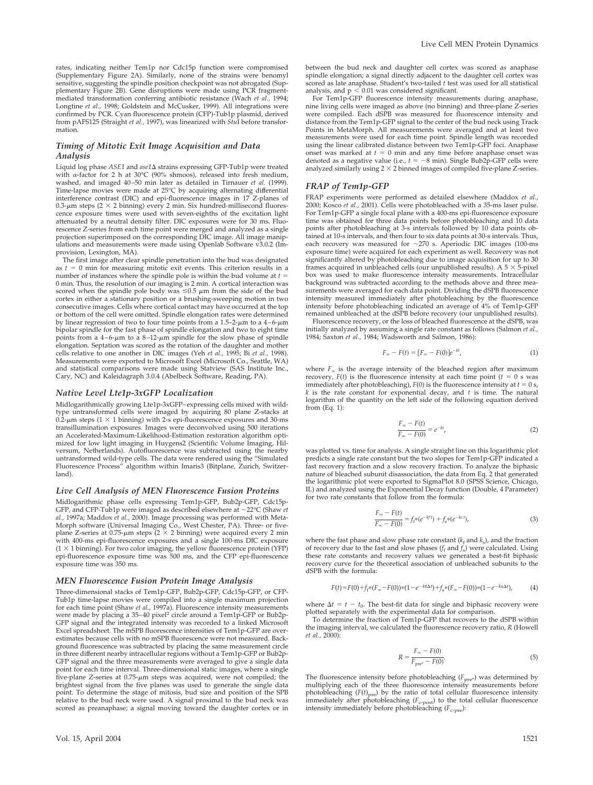rates, indicating neither Tem1p nor Cdc15p function were compromised (Supplementary Figure 2A). Similarly, none of the strains were benomyl sensitive, suggesting the spindle position checkpoint was not abrogated (Supplementary Figure 2B). Gene disruptions were made using PCR fragmentmediated transformation conferring antibiotic resistance (Wach *et al.,* 1994; Longtine *et al.,* 1998; Goldstein and McCusker, 1999). All integrations were confirmed by PCR. Cyan fluorescence protein (CFP)-Tub1p plasmid, derived from pAFS125 (Straight *et al.,* 1997), was linearized with *Stu*I before transformation.

#### *Timing of Mitotic Exit Image Acquisition and Data Analysis*

Liquid log phase *ASE1* and *ase1* A strains expressing GFP-Tub1p were treated with  $\alpha$ -factor for 2 h at 30°C (90% shmoos), released into fresh medium, washed, and imaged 40–50 min later as detailed in Tirnauer *et al.* (1999). Time-lapse movies were made at 25°C by acquiring alternating differential interference contrast (DIC) and epi-fluorescence images in 17 Z-planes of 0.3- $\mu$ m steps (2  $\times$  2 binning) every 2 min. Six hundred-millisecond fluorescence exposure times were used with seven-eighths of the excitation light attenuated by a neutral density filter. DIC exposures were for 30 ms. Fluorescence Z-series from each time point were merged and analyzed as a single projection superimposed on the corresponding DIC image. All image manipulations and measurements were made using Openlab Software v3.0.2 (Improvision, Lexington, MA).

The first image after clear spindle penetration into the bud was designated as  $t = 0$  min for measuring mitotic exit events. This criterion results in a number of instances where the spindle pole is within the bud volume at *t* 0 min. Thus, the resolution of our imaging is 2 min. A cortical interaction was scored when the spindle pole body was  $\leq 0.5$   $\mu$ m from the side of the bud cortex in either a stationary position or a brushing-sweeping motion in two consecutive images. Cells where cortical contact may have occurred at the top or bottom of the cell were omitted. Spindle elongation rates were determined by linear regression of two to four time points from a  $1.5-2-\mu m$  to a  $4-6-\mu m$ bipolar spindle for the fast phase of spindle elongation and two to eight time points from a  $4-6$ - $\mu$ m to a  $8-12$ - $\mu$ m spindle for the slow phase of spindle elongation. Septation was scored as the rotation of the daughter and mother cells relative to one another in DIC images (Yeh *et al.,* 1995; Bi *et al.,* 1998). Measurements were exported to Microsoft Excel (Microsoft Co., Seattle, WA) and statistical comparisons were made using Statview (SAS Institute Inc., Cary, NC) and Kaleidagraph 3.0.4 (Abelbeck Software, Reading, PA).

#### *Native Level Lte1p-3xGFP Localization*

Midlogarithmically growing Lte1p-3xGFP–expressing cells mixed with wildtype untransformed cells were imaged by acquiring 80 plane Z-stacks at 0.2- $\mu$ m steps (1  $\times$  1 binning) with 2-s epi-fluorescence exposures and 30-ms transillumination exposures. Images were deconvolved using 500 iterations an Accelerated-Maximum-Likelihood-Estimation restoration algorithm optimized for low light imaging in Huygens2 (Scientific Volume Imaging, Hilversum, Netherlands). Autofluorescence was subtracted using the nearby untransformed wild-type cells. The data were rendered using the "Simulated Fluorescence Process" algorithm within Imaris3 (Bitplane, Zurich, Switzerland).

#### *Live Cell Analysis of MEN Fluorescence Fusion Proteins*

Midlogarithmic phase cells expressing Tem1p-GFP, Bub2p-GFP, Cdc15p-GFP, and CFP-Tub1p were imaged as described elsewhere at ~22°C (Shaw *et al.,* 1997a; Maddox *et al.,* 2000). Image processing was performed with Meta-Morph software (Universal Imaging Co., West Chester, PA). Three- or five-<br>plane Z-series at 0.75-µm steps (2 × 2 binning) were acquired every 2 min with 400-ms epi-fluorescence exposures and a single 100-ms DIC exposure  $(1 \times 1)$  binning). For two color imaging, the yellow fluorescence protein (YFP) epi-fluorescence exposure time was 500 ms, and the CFP epi-fluorescence exposure time was 350 ms.

#### *MEN Fluorescence Fusion Protein Image Analysis*

Three-dimensional stacks of Tem1p-GFP, Bub2p-GFP, Cdc15p-GFP, or CFP-Tub1p time-lapse movies were compiled into a single maximum projection for each time point (Shaw *et al.,* 1997a). Fluorescence intensity measurements were made by placing a 35–40 pixel<sup>2</sup> circle around a Tem1p-GFP or Bub2p-GFP signal and the integrated intensity was recorded to a linked Microsoft Excel spreadsheet. The mSPB fluorescence intensities of Tem1p-GFP are overestimates because cells with no mSPB fluorescence were not measured. Background fluorescence was subtracted by placing the same measurement circle in three different nearby intracellular regions without a Tem1p-GFP or Bub2p-GFP signal and the three measurements were averaged to give a single data point for each time interval. Three-dimensional static images, where a single five-plane Z-series at  $0.75$ - $\mu$ m steps was acquired, were not compiled; the brightest signal from the five planes was used to generate the single data point. To determine the stage of mitosis, bud size and position of the SPB relative to the bud neck were used. A signal proximal to the bud neck was scored as preanaphase; a signal moving toward the daughter cortex or in between the bud neck and daughter cell cortex was scored as anaphase spindle elongation; a signal directly adjacent to the daughter cell cortex was scored as late anaphase. Student's two-tailed *t* test was used for all statistical analysis, and  $p < 0.01$  was considered significant.

For Tem1p-GFP fluorescence intensity measurements during anaphase, nine living cells were imaged as above (no binning) and three-plane Z-series were compiled. Each dSPB was measured for fluorescence intensity and distance from the Tem1p-GFP signal to the center of the bud neck using Track Points in MetaMorph. All measurements were averaged and at least two measurements were used for each time point. Spindle length was recorded using the linear calibrated distance between two Tem1p-GFP foci. Anaphase onset was marked at  $t = 0$  min and any time before anaphase onset was denoted as a negative value (i.e.,  $t = -8$  min). Single Bub2p-GFP cells were analyzed similarly using  $2 \times 2$  binned images of compiled five-plane Z-series.

#### *FRAP of Tem1p-GFP*

FRAP experiments were performed as detailed elsewhere (Maddox *et al.,* 2000; Kosco *et al.,* 2001). Cells were photobleached with a 35-ms laser pulse. For Tem1p-GFP a single focal plane with a 400-ms epi-fluorescence exposure time was obtained for three data points before photobleaching and 10 data points after photobleaching at 3-s intervals followed by 10 data points obtained at 10-s intervals, and then four to six data points at 30-s intervals. Thus, each recovery was measured for  $\sim$ 270 s. Aperiodic DIC images (100-ms exposure time) were acquired for each experiment as well. Recovery was not significantly altered by photobleaching due to image acquisition for up to 30 frames acquired in unbleached cells (our unpublished results). A  $5 \times 5$ -pixel box was used to make fluorescence intensity measurements. Intracellular background was subtracted according to the methods above and three measurements were averaged for each data point. Dividing the dSPB fluorescence intensity measured immediately after photobleaching by the fluorescence intensity before photobleaching indicated an average of 4% of Tem1p-GFP remained unbleached at the dSPB before recovery (our unpublished results).

Fluorescence recovery, or the loss of bleached fluorescence at the dSPB, was initially analyzed by assuming a single rate constant as follows (Salmon *et al.,* 1984; Saxton *et al.,* 1984; Wadsworth and Salmon, 1986):

$$
F_{\infty} - F(t) = [F_{\infty} - F(0)]e^{-kt}, \tag{1}
$$

where  $F_\infty$  is the average intensity of the bleached region after maximum recovery,  $F(t)$  is the fluorescence intensity at each time point ( $t = 0$  s was immediately after photobleaching),  $F(0)$  is the fluorescence intensity at  $t = 0$  s, *k* is the rate constant for exponential decay, and *t* is time. The natural logarithm of the quantity on the left side of the following equation derived from (Eq. 1):

$$
\frac{F_{\infty} - F(t)}{F_{\infty} - F(0)} = e^{-kt},\tag{2}
$$

was plotted vs. time for analysis. A single straight line on this logarithmic plot predicts a single rate constant but the two slopes for Tem1p-GFP indicated a fast recovery fraction and a slow recovery fraction. To analyze the biphasic nature of bleached subunit disassociation, the data from Eq. 2 that generated the logarithmic plot were exported to SigmaPlot 8.0 (SPSS Science, Chicago, IL) and analyzed using the Exponential Decay function (Double, 4 Parameter) for two rate constants that follow from the formula:

$$
\frac{F_{\infty} - F(t)}{F_{\infty} - F(0)} = f_f * (e^{-kf}) + f_s * (e^{-ks})
$$
\n(3)

where the fast phase and slow phase rate constant  $(k_f$  and  $k_s$ ), and the fraction of recovery due to the fast and slow phases (*f*<sup>f</sup> and *f*s) were calculated. Using these rate constants and recovery values we generated a best-fit biphasic recovery curve for the theoretical association of unbleached subunits to the dSPB with the formula:

$$
F(t) = F(0) + f_f * (F_\infty - F(0)) * (1 - e^{-k\Delta t}) + f_s * (F_\infty - F(0)) * (1 - e^{-k\Delta t}), \tag{4}
$$

where  $\Delta t = t - t_0$ . The best-fit data for single and biphasic recovery were plotted separately with the experimental data for comparison.

To determine the fraction of Tem1p-GFP that recovers to the dSPB within the imaging interval, we calculated the fluorescence recovery ratio, *R* (Howell *et al.,* 2000):

$$
R = \frac{F_{\infty} - F(0)}{F_{\text{pre}^*} - F(0)}.
$$
\n(5)

The fluorescence intensity before photobleaching ( $F_{\text{pre}^*}$ ) was determined by multiplying each of the three fluorescence intensity measurements before photobleaching  $(F(t)<sub>pre</sub>)$  by the ratio of total cellular fluorescence intensity immediately after photobleaching ( $F_{c\text{-post}}$ ) to the total cellular fluorescence intensity immediately before photobleaching ( $F_{\text{c-pre}}$ ):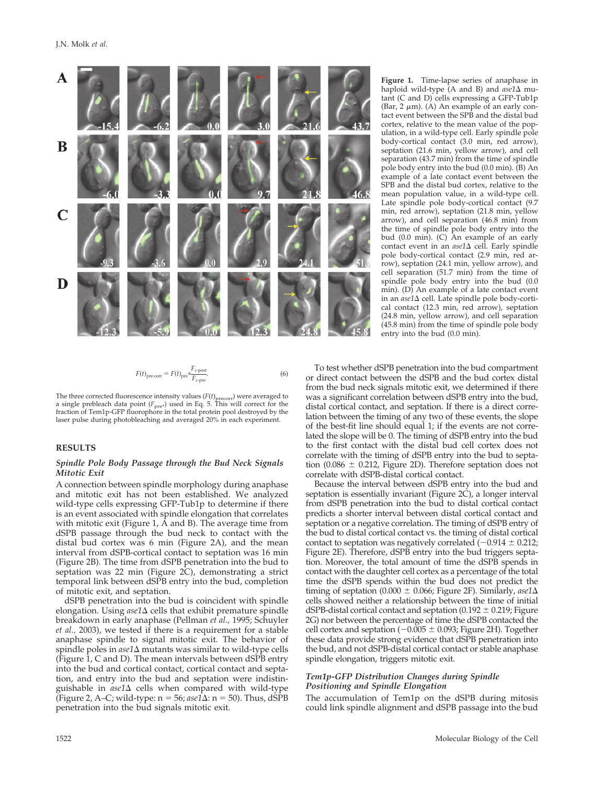

$$
F(t)_{\text{pre-corr}} = F(t)_{\text{pre}} \frac{F_{\text{cpost}}}{F_{\text{c-pre}}}.
$$
\n(6)

The three corrected fluorescence intensity values  $(F(t)_{\text{precorr}})$  were averaged to a single prebleach data point  $(F_{pre^*})$  used in Eq. 5. This will correct for the fraction of Tem1p-GFP fluorophore in the total protein pool destroyed by the laser pulse during photobleaching and averaged 20% in each experiment.

#### **RESULTS**

#### *Spindle Pole Body Passage through the Bud Neck Signals Mitotic Exit*

A connection between spindle morphology during anaphase and mitotic exit has not been established. We analyzed wild-type cells expressing GFP-Tub1p to determine if there is an event associated with spindle elongation that correlates with mitotic exit (Figure 1,  $\overline{A}$  and B). The average time from dSPB passage through the bud neck to contact with the distal bud cortex was 6 min (Figure 2A), and the mean interval from dSPB-cortical contact to septation was 16 min (Figure 2B). The time from dSPB penetration into the bud to septation was 22 min (Figure 2C), demonstrating a strict temporal link between dSPB entry into the bud, completion of mitotic exit, and septation.

dSPB penetration into the bud is coincident with spindle elongation. Using *ase1* $\Delta$  cells that exhibit premature spindle breakdown in early anaphase (Pellman *et al.,* 1995; Schuyler *et al.,* 2003), we tested if there is a requirement for a stable anaphase spindle to signal mitotic exit. The behavior of spindle poles in *ase*1 $\Delta$  mutants was similar to wild-type cells (Figure 1, C and D). The mean intervals between dSPB entry into the bud and cortical contact, cortical contact and septation, and entry into the bud and septation were indistinguishable in *ase1*  $\Delta$  cells when compared with wild-type (Figure 2, A–C; wild-type:  $n = 56$ ; *ase* $1\Delta$ :  $n = 50$ ). Thus, dSPB penetration into the bud signals mitotic exit.

**Figure 1.** Time-lapse series of anaphase in haploid wild-type (A and B) and *ase1*  $\Delta$  mutant (C and D) cells expressing a GFP-Tub1p (Bar, 2  $\mu$ m). (A) An example of an early contact event between the SPB and the distal bud cortex, relative to the mean value of the population, in a wild-type cell. Early spindle pole body-cortical contact (3.0 min, red arrow), septation (21.6 min, yellow arrow), and cell separation (43.7 min) from the time of spindle pole body entry into the bud (0.0 min). (B) An example of a late contact event between the SPB and the distal bud cortex, relative to the mean population value, in a wild-type cell. Late spindle pole body-cortical contact (9.7 min, red arrow), septation (21.8 min, yellow arrow), and cell separation (46.8 min) from the time of spindle pole body entry into the bud (0.0 min). (C) An example of an early contact event in an *ase1*  $\Delta$  cell. Early spindle pole body-cortical contact (2.9 min, red arrow), septation (24.1 min, yellow arrow), and cell separation (51.7 min) from the time of spindle pole body entry into the bud (0.0 min). (D) An example of a late contact event in an *ase1* $\Delta$  cell. Late spindle pole body-cortical contact (12.3 min, red arrow), septation (24.8 min, yellow arrow), and cell separation (45.8 min) from the time of spindle pole body entry into the bud (0.0 min).

To test whether dSPB penetration into the bud compartment or direct contact between the dSPB and the bud cortex distal from the bud neck signals mitotic exit, we determined if there was a significant correlation between dSPB entry into the bud, distal cortical contact, and septation. If there is a direct correlation between the timing of any two of these events, the slope of the best-fit line should equal 1; if the events are not correlated the slope will be 0. The timing of dSPB entry into the bud to the first contact with the distal bud cell cortex does not correlate with the timing of dSPB entry into the bud to septation (0.086  $\pm$  0.212, Figure 2D). Therefore septation does not correlate with dSPB-distal cortical contact.

Because the interval between dSPB entry into the bud and septation is essentially invariant (Figure 2C), a longer interval from dSPB penetration into the bud to distal cortical contact predicts a shorter interval between distal cortical contact and septation or a negative correlation. The timing of dSPB entry of the bud to distal cortical contact vs. the timing of distal cortical contact to septation was negatively correlated  $(-0.914 \pm 0.212)$ ; Figure 2E). Therefore, dSPB entry into the bud triggers septation. Moreover, the total amount of time the dSPB spends in contact with the daughter cell cortex as a percentage of the total time the dSPB spends within the bud does not predict the timing of septation (0.000  $\pm$  0.066; Figure 2F). Similarly, *ase*1 $\Delta$ cells showed neither a relationship between the time of initial dSPB-distal cortical contact and septation (0.192  $\pm$  0.219; Figure 2G) nor between the percentage of time the dSPB contacted the cell cortex and septation  $(-0.005 \pm 0.093)$ ; Figure 2H). Together these data provide strong evidence that dSPB penetration into the bud, and not dSPB-distal cortical contact or stable anaphase spindle elongation, triggers mitotic exit.

## *Tem1p-GFP Distribution Changes during Spindle Positioning and Spindle Elongation*

The accumulation of Tem1p on the dSPB during mitosis could link spindle alignment and dSPB passage into the bud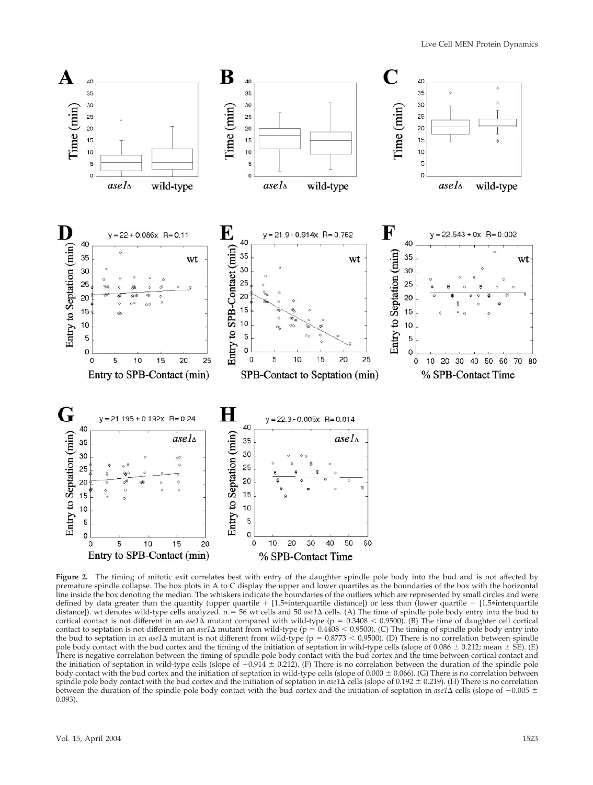

**Figure 2.** The timing of mitotic exit correlates best with entry of the daughter spindle pole body into the bud and is not affected by premature spindle collapse. The box plots in A to C display the upper and lower quartiles as the boundaries of the box with the horizontal line inside the box denoting the median. The whiskers indicate the boundaries of the outliers which are represented by small circles and were defined by data greater than the quantity (upper quartile + [1.5\*interquartile distance]) or less than (lower quartile - [1.5\*interquartile distance]). wt denotes wild-type cells analyzed.  $n = 56$  wt cells and 50 *ase1* $\Delta$  cells. (A) The time of spindle pole body entry into the bud to cortical contact is not different in an  $ase1\Delta$  mutant compared with wild-type (p =  $0.3408 < 0.9500$ ). (B) The time of daughter cell cortical contact to septation is not different in an  $ase1\Delta$  mutant from wild-type ( $p = 0.4408 < 0.9500$ ). (C) The timing of spindle pole body entry into the bud to septation in an  $ase1\Delta$  mutant is not different from wild-type ( $p = 0.8773 < 0.9500$ ). (D) There is no correlation between spindle pole body contact with the bud cortex and the timing of the initiation of septation in wild-type cells (slope of 0.086  $\pm$  0.212; mean  $\pm$  SE). (E) There is negative correlation between the timing of spindle pole body contact with the bud cortex and the time between cortical contact and the initiation of septation in wild-type cells (slope of  $-0.914 \pm 0.212$ ). (F) There is no correlation between the duration of the spindle pole body contact with the bud cortex and the initiation of septation in wild-type cells (slope of  $0.000 \pm 0.066$ ). (G) There is no correlation between spindle pole body contact with the bud cortex and the initiation of septation in *ase1*  $\Delta$  cells (slope of 0.192  $\pm$  0.219). (H) There is no correlation between the duration of the spindle pole body contact with the bud cortex and the initiation of septation in  $ase1\Delta$  cells (slope of  $-0.005\pm$ 0.093).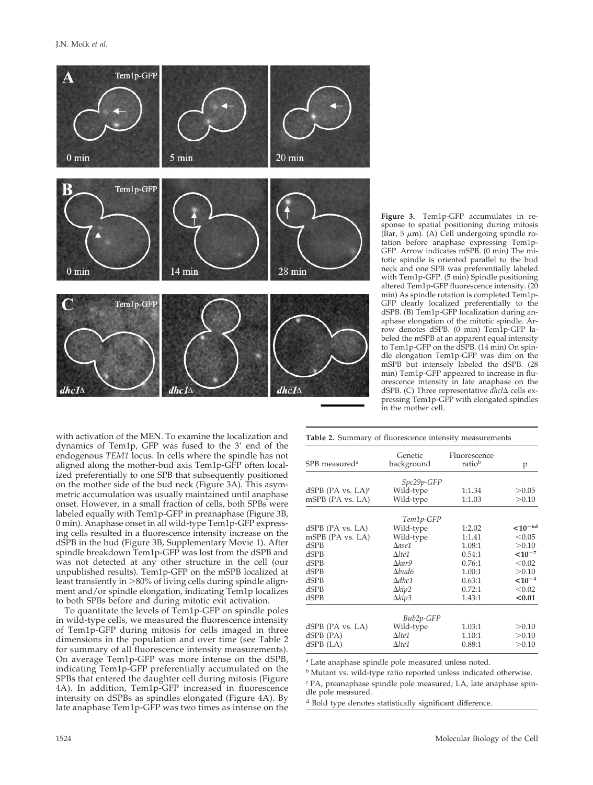

**Figure 3.** Tem1p-GFP accumulates in response to spatial positioning during mitosis  $(\bar{\text{Bar}}, 5 \mu \text{m})$ . (A) Cell undergoing spindle rotation before anaphase expressing Tem1p-GFP. Arrow indicates mSPB. (0 min) The mitotic spindle is oriented parallel to the bud neck and one SPB was preferentially labeled with Tem1p-GFP. (5 min) Spindle positioning altered Tem1p-GFP fluorescence intensity. (20 min) As spindle rotation is completed Tem1p-GFP clearly localized preferentially to the dSPB. (B) Tem1p-GFP localization during anaphase elongation of the mitotic spindle. Arrow denotes dSPB. (0 min) Tem1p-GFP labeled the mSPB at an apparent equal intensity to Tem1p-GFP on the dSPB. (14 min) On spindle elongation Tem1p-GFP was dim on the mSPB but intensely labeled the dSPB. (28 min) Tem1p-GFP appeared to increase in fluorescence intensity in late anaphase on the dSPB. (C) Three representative *dhcl*  $\Delta$  cells expressing Tem1p-GFP with elongated spindles in the mother cell.

with activation of the MEN. To examine the localization and dynamics of Tem1p, GFP was fused to the 3' end of the endogenous *TEM1* locus. In cells where the spindle has not aligned along the mother-bud axis Tem1p-GFP often localized preferentially to one SPB that subsequently positioned on the mother side of the bud neck (Figure 3A). This asymmetric accumulation was usually maintained until anaphase onset. However, in a small fraction of cells, both SPBs were labeled equally with Tem1p-GFP in preanaphase (Figure 3B, 0 min). Anaphase onset in all wild-type Tem1p-GFP expressing cells resulted in a fluorescence intensity increase on the dSPB in the bud (Figure 3B, Supplementary Movie 1). After spindle breakdown Tem1p-GFP was lost from the dSPB and was not detected at any other structure in the cell (our unpublished results). Tem1p-GFP on the mSPB localized at least transiently in  $>80\%$  of living cells during spindle alignment and/or spindle elongation, indicating Tem1p localizes to both SPBs before and during mitotic exit activation.

To quantitate the levels of Tem1p-GFP on spindle poles in wild-type cells, we measured the fluorescence intensity of Tem1p-GFP during mitosis for cells imaged in three dimensions in the population and over time (see Table 2 for summary of all fluorescence intensity measurements). On average Tem1p-GFP was more intense on the dSPB, indicating Tem1p-GFP preferentially accumulated on the SPBs that entered the daughter cell during mitosis (Figure 4A). In addition, Tem1p-GFP increased in fluorescence intensity on dSPBs as spindles elongated (Figure 4A). By late anaphase Tem1p-GFP was two times as intense on the

|                                  | Genetic          | Fluorescence | p             |  |
|----------------------------------|------------------|--------------|---------------|--|
| SPB measured <sup>a</sup>        | background       | ratiob       |               |  |
|                                  | Spc29p-GFP       |              |               |  |
| dSPB (PA vs. $LA$ ) <sup>c</sup> | Wild-type        | 1:1.34       | >0.05         |  |
| mSPB (PA vs. LA)                 | Wild-type        | 1:1.03       | > 0.10        |  |
|                                  |                  |              |               |  |
|                                  | Tem1p-GFP        |              |               |  |
| dSPB (PA vs. LA)                 | Wild-type        | 1:2.02       | ${<}10^{-6d}$ |  |
| mSPB (PA vs. LA)                 | Wild-type        | 1:1.41       | < 0.05        |  |
| dSPB                             | $\Delta$ ase $1$ | 1.08:1       | > 0.10        |  |
| dSPB                             | $\Delta$ lte $1$ | 0.54:1       | ${<}10^{-7}$  |  |
| dSPB                             | $\Delta$ kar $9$ | 0.76:1       | < 0.02        |  |
| dSPB                             | $\Delta bud6$    | 1.00:1       | > 0.10        |  |
| dSPB                             | $\Delta dhc1$    | 0.63:1       | $< 10^{-4}$   |  |
| dSPB                             | $\Delta$ kip2    | 0.72:1       | < 0.02        |  |
| dSPB                             | $\Delta$ kip3    | 1.43:1       | < 0.01        |  |
|                                  | Bub2p-GFP        |              |               |  |
| dSPB (PA vs. LA)                 | Wild-type        | 1.03:1       | > 0.10        |  |
| dSPB (PA)                        | $\Delta$ lte $1$ | 1.10:1       | > 0.10        |  |
| dSPB (LA)                        | $\Delta$ lte $1$ | 0.88:1       | > 0.10        |  |
|                                  |                  |              |               |  |

**Table 2.** Summary of fluorescence intensity measurements

<sup>a</sup> Late anaphase spindle pole measured unless noted.

<sup>b</sup> Mutant vs. wild-type ratio reported unless indicated otherwise.

<sup>c</sup> PA, preanaphase spindle pole measured; LA, late anaphase spindle pole measured.

<sup>d</sup> Bold type denotes statistically significant difference.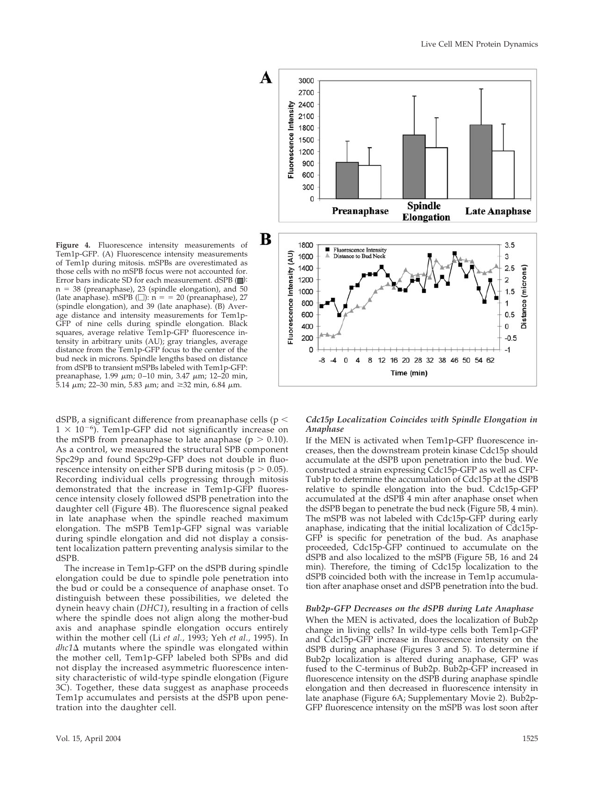**Figure 4.** Fluorescence intensity measurements of Tem1p-GFP. (A) Fluorescence intensity measurements of Tem1p during mitosis. mSPBs are overestimated as those cells with no mSPB focus were not accounted for. Error bars indicate SD for each measurement. dSPB ( $\Box$ ):  $n = 38$  (preanaphase), 23 (spindle elongation), and 50 (late anaphase). mSPB ( $\square$ ):  $n = 20$  (preanaphase), 27 (spindle elongation), and 39 (late anaphase). (B) Average distance and intensity measurements for Tem1p-GFP of nine cells during spindle elongation. Black squares, average relative Tem1p-GFP fluorescence intensity in arbitrary units (AU); gray triangles, average distance from the Tem1p-GFP focus to the center of the bud neck in microns. Spindle lengths based on distance from dSPB to transient mSPBs labeled with Tem1p-GFP: preanaphase, 1.99  $\mu$ m; 0-10 min, 3.47  $\mu$ m; 12-20 min, 5.14  $\mu$ m; 22–30 min, 5.83  $\mu$ m; and ≥32 min, 6.84  $\mu$ m.

dSPB, a significant difference from preanaphase cells ( $p <$  $1 \times 10^{-6}$ ). Tem1p-GFP did not significantly increase on the mSPB from preanaphase to late anaphase ( $p > 0.10$ ). As a control, we measured the structural SPB component Spc29p and found Spc29p-GFP does not double in fluorescence intensity on either SPB during mitosis ( $p > 0.05$ ). Recording individual cells progressing through mitosis demonstrated that the increase in Tem1p-GFP fluorescence intensity closely followed dSPB penetration into the daughter cell (Figure 4B). The fluorescence signal peaked in late anaphase when the spindle reached maximum elongation. The mSPB Tem1p-GFP signal was variable during spindle elongation and did not display a consistent localization pattern preventing analysis similar to the dSPB.

The increase in Tem1p-GFP on the dSPB during spindle elongation could be due to spindle pole penetration into the bud or could be a consequence of anaphase onset. To distinguish between these possibilities, we deleted the dynein heavy chain (*DHC1*), resulting in a fraction of cells where the spindle does not align along the mother-bud axis and anaphase spindle elongation occurs entirely within the mother cell (Li *et al.,* 1993; Yeh *et al.,* 1995). In dhc1∆ mutants where the spindle was elongated within the mother cell, Tem1p-GFP labeled both SPBs and did not display the increased asymmetric fluorescence intensity characteristic of wild-type spindle elongation (Figure 3C). Together, these data suggest as anaphase proceeds Tem1p accumulates and persists at the dSPB upon penetration into the daughter cell.



## *Cdc15p Localization Coincides with Spindle Elongation in Anaphase*

If the MEN is activated when Tem1p-GFP fluorescence increases, then the downstream protein kinase Cdc15p should accumulate at the dSPB upon penetration into the bud. We constructed a strain expressing Cdc15p-GFP as well as CFP-Tub1p to determine the accumulation of Cdc15p at the dSPB relative to spindle elongation into the bud. Cdc15p-GFP accumulated at the dSPB 4 min after anaphase onset when the dSPB began to penetrate the bud neck (Figure 5B, 4 min). The mSPB was not labeled with Cdc15p-GFP during early anaphase, indicating that the initial localization of Cdc15p-GFP is specific for penetration of the bud. As anaphase proceeded, Cdc15p-GFP continued to accumulate on the dSPB and also localized to the mSPB (Figure 5B, 16 and 24 min). Therefore, the timing of Cdc15p localization to the dSPB coincided both with the increase in Tem1p accumulation after anaphase onset and dSPB penetration into the bud.

#### *Bub2p-GFP Decreases on the dSPB during Late Anaphase*

When the MEN is activated, does the localization of Bub2p change in living cells? In wild-type cells both Tem1p-GFP and Cdc15p-GFP increase in fluorescence intensity on the dSPB during anaphase (Figures 3 and 5). To determine if Bub2p localization is altered during anaphase, GFP was fused to the C-terminus of Bub2p. Bub2p-GFP increased in fluorescence intensity on the dSPB during anaphase spindle elongation and then decreased in fluorescence intensity in late anaphase (Figure 6A; Supplementary Movie 2). Bub2p-GFP fluorescence intensity on the mSPB was lost soon after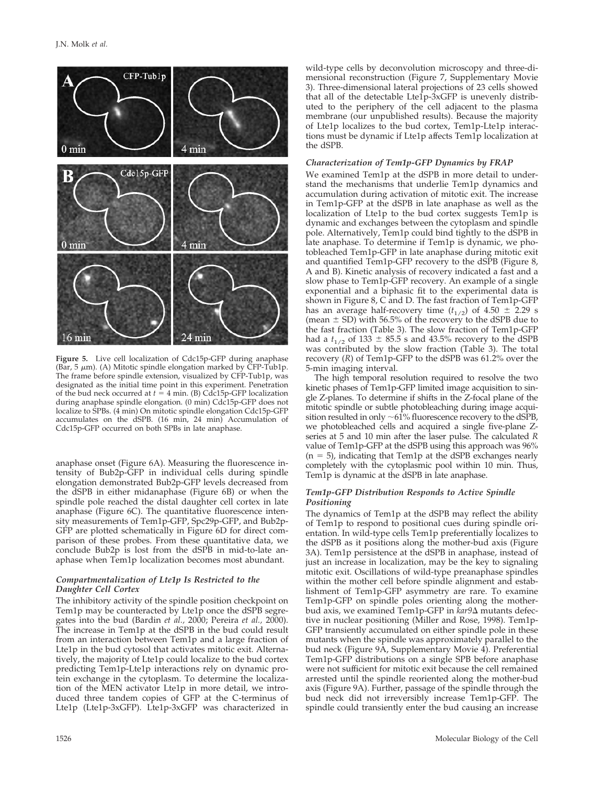

**Figure 5.** Live cell localization of Cdc15p-GFP during anaphase (Bar,  $5 \mu m$ ). (A) Mitotic spindle elongation marked by CFP-Tub1p. The frame before spindle extension, visualized by CFP-Tub1p, was designated as the initial time point in this experiment. Penetration of the bud neck occurred at  $t = 4$  min. (B) Cdc15p-GFP localization during anaphase spindle elongation. (0 min) Cdc15p-GFP does not localize to SPBs. (4 min) On mitotic spindle elongation Cdc15p-GFP accumulates on the dSPB. (16 min, 24 min) Accumulation of Cdc15p-GFP occurred on both SPBs in late anaphase.

anaphase onset (Figure 6A). Measuring the fluorescence intensity of Bub2p-GFP in individual cells during spindle elongation demonstrated Bub2p-GFP levels decreased from the dSPB in either midanaphase (Figure 6B) or when the spindle pole reached the distal daughter cell cortex in late anaphase (Figure 6C). The quantitative fluorescence intensity measurements of Tem1p-GFP, Spc29p-GFP, and Bub2p-GFP are plotted schematically in Figure 6D for direct comparison of these probes. From these quantitative data, we conclude Bub2p is lost from the dSPB in mid-to-late anaphase when Tem1p localization becomes most abundant.

# *Compartmentalization of Lte1p Is Restricted to the Daughter Cell Cortex*

The inhibitory activity of the spindle position checkpoint on Tem1p may be counteracted by Lte1p once the dSPB segregates into the bud (Bardin *et al.,* 2000; Pereira *et al.,* 2000). The increase in Tem1p at the dSPB in the bud could result from an interaction between Tem1p and a large fraction of Lte1p in the bud cytosol that activates mitotic exit. Alternatively, the majority of Lte1p could localize to the bud cortex predicting Tem1p-Lte1p interactions rely on dynamic protein exchange in the cytoplasm. To determine the localization of the MEN activator Lte1p in more detail, we introduced three tandem copies of GFP at the C-terminus of Lte1p (Lte1p-3xGFP). Lte1p-3xGFP was characterized in

wild-type cells by deconvolution microscopy and three-dimensional reconstruction (Figure 7, Supplementary Movie 3). Three-dimensional lateral projections of 23 cells showed that all of the detectable Lte1p-3xGFP is unevenly distributed to the periphery of the cell adjacent to the plasma membrane (our unpublished results). Because the majority of Lte1p localizes to the bud cortex, Tem1p-Lte1p interactions must be dynamic if Lte1p affects Tem1p localization at the dSPB.

# *Characterization of Tem1p-GFP Dynamics by FRAP*

We examined Tem1p at the dSPB in more detail to understand the mechanisms that underlie Tem1p dynamics and accumulation during activation of mitotic exit. The increase in Tem1p-GFP at the dSPB in late anaphase as well as the localization of Lte1p to the bud cortex suggests Tem1p is dynamic and exchanges between the cytoplasm and spindle pole. Alternatively, Tem1p could bind tightly to the dSPB in late anaphase. To determine if Tem1p is dynamic, we photobleached Tem1p-GFP in late anaphase during mitotic exit and quantified Tem1p-GFP recovery to the dSPB (Figure 8, A and B). Kinetic analysis of recovery indicated a fast and a slow phase to Tem1p-GFP recovery. An example of a single exponential and a biphasic fit to the experimental data is shown in Figure 8, C and D. The fast fraction of Tem1p-GFP has an average half-recovery time  $(t_{1/2})$  of 4.50  $\pm$  2.29 s (mean  $\pm$  SD) with 56.5% of the recovery to the dSPB due to the fast fraction (Table 3). The slow fraction of Tem1p-GFP had a  $t_{1/2}$  of 133  $\pm$  85.5 s and 43.5% recovery to the dSPB was contributed by the slow fraction (Table 3). The total recovery (*R*) of Tem1p-GFP to the dSPB was 61.2% over the 5-min imaging interval.

The high temporal resolution required to resolve the two kinetic phases of Tem1p-GFP limited image acquisition to single Z-planes. To determine if shifts in the Z-focal plane of the mitotic spindle or subtle photobleaching during image acquisition resulted in only  $\sim 61\%$  fluorescence recovery to the dSPB, we photobleached cells and acquired a single five-plane Zseries at 5 and 10 min after the laser pulse. The calculated *R* value of Tem1p-GFP at the dSPB using this approach was 96%  $(n = 5)$ , indicating that Tem1p at the dSPB exchanges nearly completely with the cytoplasmic pool within 10 min. Thus, Tem1p is dynamic at the dSPB in late anaphase.

# *Tem1p-GFP Distribution Responds to Active Spindle Positioning*

The dynamics of Tem1p at the dSPB may reflect the ability of Tem1p to respond to positional cues during spindle orientation. In wild-type cells Tem1p preferentially localizes to the dSPB as it positions along the mother-bud axis (Figure 3A). Tem1p persistence at the dSPB in anaphase, instead of just an increase in localization, may be the key to signaling mitotic exit. Oscillations of wild-type preanaphase spindles within the mother cell before spindle alignment and establishment of Tem1p-GFP asymmetry are rare. To examine Tem1p-GFP on spindle poles orienting along the motherbud axis, we examined Tem1p-GFP in *kar9* $\Delta$  mutants defective in nuclear positioning (Miller and Rose, 1998). Tem1p-GFP transiently accumulated on either spindle pole in these mutants when the spindle was approximately parallel to the bud neck (Figure 9A, Supplementary Movie 4). Preferential Tem1p-GFP distributions on a single SPB before anaphase were not sufficient for mitotic exit because the cell remained arrested until the spindle reoriented along the mother-bud axis (Figure 9A). Further, passage of the spindle through the bud neck did not irreversibly increase Tem1p-GFP. The spindle could transiently enter the bud causing an increase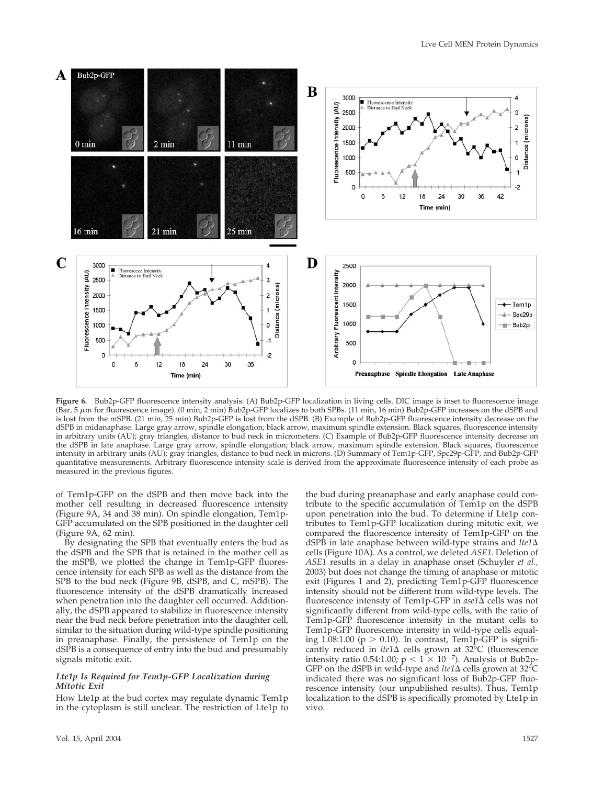

**Figure 6.** Bub2p-GFP fluorescence intensity analysis. (A) Bub2p-GFP localization in living cells. DIC image is inset to fluorescence image (Bar, 5 m for fluorescence image). (0 min, 2 min) Bub2p-GFP localizes to both SPBs. (11 min, 16 min) Bub2p-GFP increases on the dSPB and is lost from the mSPB. (21 min, 25 min) Bub2p-GFP is lost from the dSPB. (B) Example of Bub2p-GFP fluorescence intensity decrease on the dSPB in midanaphase. Large gray arrow, spindle elongation; black arrow, maximum spindle extension. Black squares, fluorescence intensity in arbitrary units (AU); gray triangles, distance to bud neck in micrometers. (C) Example of Bub2p-GFP fluorescence intensity decrease on the dSPB in late anaphase. Large gray arrow, spindle elongation; black arrow, maximum spindle extension. Black squares, fluorescence intensity in arbitrary units (AU); gray triangles, distance to bud neck in microns. (D) Summary of Tem1p-GFP, Spc29p-GFP, and Bub2p-GFP quantitative measurements. Arbitrary fluorescence intensity scale is derived from the approximate fluorescence intensity of each probe as measured in the previous figures.

of Tem1p-GFP on the dSPB and then move back into the mother cell resulting in decreased fluorescence intensity (Figure 9A, 34 and 38 min). On spindle elongation, Tem1p-GFP accumulated on the SPB positioned in the daughter cell (Figure 9A, 62 min).

By designating the SPB that eventually enters the bud as the dSPB and the SPB that is retained in the mother cell as the mSPB, we plotted the change in Tem1p-GFP fluorescence intensity for each SPB as well as the distance from the SPB to the bud neck (Figure 9B, dSPB, and C, mSPB). The fluorescence intensity of the dSPB dramatically increased when penetration into the daughter cell occurred. Additionally, the dSPB appeared to stabilize in fluorescence intensity near the bud neck before penetration into the daughter cell, similar to the situation during wild-type spindle positioning in preanaphase. Finally, the persistence of Tem1p on the dSPB is a consequence of entry into the bud and presumably signals mitotic exit.

#### *Lte1p Is Required for Tem1p-GFP Localization during Mitotic Exit*

How Lte1p at the bud cortex may regulate dynamic Tem1p in the cytoplasm is still unclear. The restriction of Lte1p to tribute to the specific accumulation of Tem1p on the dSPB upon penetration into the bud. To determine if Lte1p contributes to Tem1p-GFP localization during mitotic exit, we compared the fluorescence intensity of Tem1p-GFP on the dSPB in late anaphase between wild-type strains and  $lte1\Delta$ cells (Figure 10A). As a control, we deleted *ASE1*. Deletion of *ASE1* results in a delay in anaphase onset (Schuyler *et al.,* 2003) but does not change the timing of anaphase or mitotic exit (Figures 1 and 2), predicting Tem1p-GFP fluorescence intensity should not be different from wild-type levels. The fluorescence intensity of Tem1p-GFP in *ase1* $\Delta$  cells was not significantly different from wild-type cells, with the ratio of Tem1p-GFP fluorescence intensity in the mutant cells to Tem1p-GFP fluorescence intensity in wild-type cells equaling 1.08:1.00 ( $p > 0.10$ ). In contrast, Tem1p-GFP is significantly reduced in *lte1* $\Delta$  cells grown at 32°C (fluorescence intensity ratio 0.54:1.00;  $p < 1 \times 10^{-7}$ ). Analysis of Bub2p-GFP on the dSPB in wild-type and  $lte1\Delta$  cells grown at 32 $^{\circ}$ C indicated there was no significant loss of Bub2p-GFP fluorescence intensity (our unpublished results). Thus, Tem1p localization to the dSPB is specifically promoted by Lte1p in vivo.

the bud during preanaphase and early anaphase could con-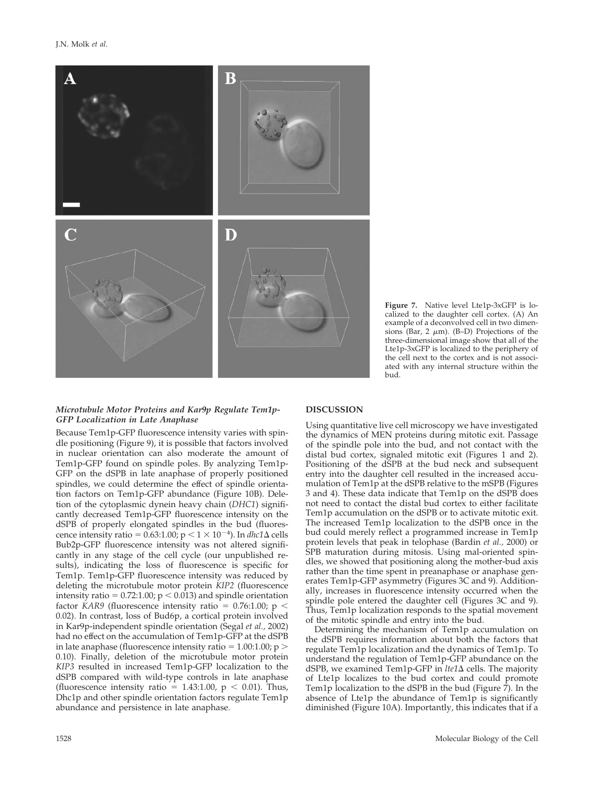

#### **Figure 7.** Native level Lte1p-3xGFP is localized to the daughter cell cortex. (A) An example of a deconvolved cell in two dimensions (Bar, 2  $\mu$ m). (B–D) Projections of the three-dimensional image show that all of the Lte1p-3xGFP is localized to the periphery of the cell next to the cortex and is not associated with any internal structure within the bud.

# *Microtubule Motor Proteins and Kar9p Regulate Tem1p-GFP Localization in Late Anaphase*

Because Tem1p-GFP fluorescence intensity varies with spindle positioning (Figure 9), it is possible that factors involved in nuclear orientation can also moderate the amount of Tem1p-GFP found on spindle poles. By analyzing Tem1p-GFP on the dSPB in late anaphase of properly positioned spindles, we could determine the effect of spindle orientation factors on Tem1p-GFP abundance (Figure 10B). Deletion of the cytoplasmic dynein heavy chain (*DHC1*) significantly decreased Tem1p-GFP fluorescence intensity on the dSPB of properly elongated spindles in the bud (fluorescence intensity ratio =  $0.63:1.00$ ; p <  $1 \times 10^{-4}$ ). In *dhc1* $\Delta$  cells Bub2p-GFP fluorescence intensity was not altered significantly in any stage of the cell cycle (our unpublished results), indicating the loss of fluorescence is specific for Tem1p. Tem1p-GFP fluorescence intensity was reduced by deleting the microtubule motor protein *KIP2* (fluorescence intensity ratio =  $0.72:1.00$ ;  $p < 0.013$ ) and spindle orientation factor *KAR9* (fluorescence intensity ratio =  $0.76:1.00$ ; p < 0.02). In contrast, loss of Bud6p, a cortical protein involved in Kar9p-independent spindle orientation (Segal *et al.,* 2002) had no effect on the accumulation of Tem1p-GFP at the dSPB in late anaphase (fluorescence intensity ratio  $= 1.00:1.00; p >$ 0.10). Finally, deletion of the microtubule motor protein *KIP3* resulted in increased Tem1p-GFP localization to the dSPB compared with wild-type controls in late anaphase (fluorescence intensity ratio = 1.43:1.00,  $p < 0.01$ ). Thus, Dhc1p and other spindle orientation factors regulate Tem1p abundance and persistence in late anaphase.

## **DISCUSSION**

Using quantitative live cell microscopy we have investigated the dynamics of MEN proteins during mitotic exit. Passage of the spindle pole into the bud, and not contact with the distal bud cortex, signaled mitotic exit (Figures 1 and 2). Positioning of the dSPB at the bud neck and subsequent entry into the daughter cell resulted in the increased accumulation of Tem1p at the dSPB relative to the mSPB (Figures 3 and 4). These data indicate that Tem1p on the dSPB does not need to contact the distal bud cortex to either facilitate Tem1p accumulation on the dSPB or to activate mitotic exit. The increased Tem1p localization to the dSPB once in the bud could merely reflect a programmed increase in Tem1p protein levels that peak in telophase (Bardin *et al.,* 2000) or SPB maturation during mitosis. Using mal-oriented spindles, we showed that positioning along the mother-bud axis rather than the time spent in preanaphase or anaphase generates Tem1p-GFP asymmetry (Figures 3C and 9). Additionally, increases in fluorescence intensity occurred when the spindle pole entered the daughter cell (Figures 3C and 9). Thus, Tem1p localization responds to the spatial movement of the mitotic spindle and entry into the bud.

Determining the mechanism of Tem1p accumulation on the dSPB requires information about both the factors that regulate Tem1p localization and the dynamics of Tem1p. To understand the regulation of Tem1p-GFP abundance on the dSPB, we examined Tem1p-GFP in *lte1* $\Delta$  cells. The majority of Lte1p localizes to the bud cortex and could promote Tem1p localization to the dSPB in the bud (Figure 7). In the absence of Lte1p the abundance of Tem1p is significantly diminished (Figure 10A). Importantly, this indicates that if a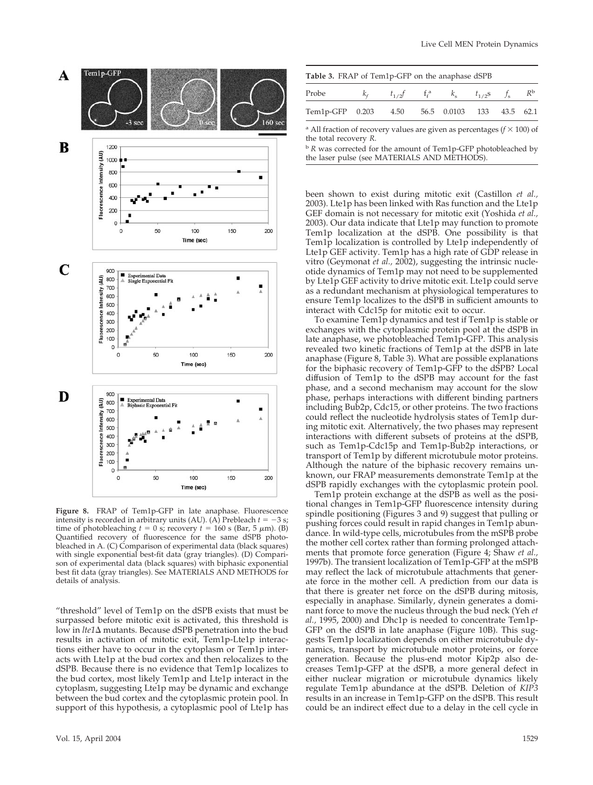

**Figure 8.** FRAP of Tem1p-GFP in late anaphase. Fluorescence intensity is recorded in arbitrary units (AU). (A) Prebleach  $t = -3$  s; time of photobleaching  $t = 0$  s; recovery  $t = 160$  s (Bar, 5  $\mu$ m). (B) Quantified recovery of fluorescence for the same dSPB photobleached in A. (C) Comparison of experimental data (black squares) with single exponential best-fit data (gray triangles). (D) Comparison of experimental data (black squares) with biphasic exponential best fit data (gray triangles). See MATERIALS AND METHODS for details of analysis.

"threshold" level of Tem1p on the dSPB exists that must be surpassed before mitotic exit is activated, this threshold is low in *lte1* $\Delta$  mutants. Because dSPB penetration into the bud results in activation of mitotic exit, Tem1p-Lte1p interactions either have to occur in the cytoplasm or Tem1p interacts with Lte1p at the bud cortex and then relocalizes to the dSPB. Because there is no evidence that Tem1p localizes to the bud cortex, most likely Tem1p and Lte1p interact in the cytoplasm, suggesting Lte1p may be dynamic and exchange between the bud cortex and the cytoplasmic protein pool. In support of this hypothesis, a cytoplasmic pool of Lte1p has

| Table 3. FRAP of Tem1p-GFP on the anaphase dSPB                   |  |                                                       |  |  |  |  |  |  |  |  |  |
|-------------------------------------------------------------------|--|-------------------------------------------------------|--|--|--|--|--|--|--|--|--|
| Probe                                                             |  | $k_f$ $t_{1/2}f$ $f_f^a$ $k_s$ $t_{1/2}s$ $f_s$ $R^b$ |  |  |  |  |  |  |  |  |  |
| Tem1p-GFP 0.203 4.50 56.5 0.0103 133 43.5 62.1                    |  |                                                       |  |  |  |  |  |  |  |  |  |
| $3 \times 11$ ( $1$ ) ( $1$ ) ( $1$ ) ( $1$ ) ( $1$ ) ( $100$ ) ( |  |                                                       |  |  |  |  |  |  |  |  |  |

All fraction of recovery values are given as percentages  $(f \times 100)$  of the total recovery *R*.

<sup>b</sup> *R* was corrected for the amount of Tem1p-GFP photobleached by the laser pulse (see MATERIALS AND METHODS).

been shown to exist during mitotic exit (Castillon *et al.,* 2003). Lte1p has been linked with Ras function and the Lte1p GEF domain is not necessary for mitotic exit (Yoshida *et al.,* 2003). Our data indicate that Lte1p may function to promote Tem1p localization at the dSPB. One possibility is that Tem1p localization is controlled by Lte1p independently of Lte1p GEF activity. Tem1p has a high rate of GDP release in vitro (Geymonat *et al.,* 2002), suggesting the intrinsic nucleotide dynamics of Tem1p may not need to be supplemented by Lte1p GEF activity to drive mitotic exit. Lte1p could serve as a redundant mechanism at physiological temperatures to ensure Tem1p localizes to the dSPB in sufficient amounts to interact with Cdc15p for mitotic exit to occur.

To examine Tem1p dynamics and test if Tem1p is stable or exchanges with the cytoplasmic protein pool at the dSPB in late anaphase, we photobleached Tem1p-GFP. This analysis revealed two kinetic fractions of Tem1p at the dSPB in late anaphase (Figure 8, Table 3). What are possible explanations for the biphasic recovery of Tem1p-GFP to the dSPB? Local diffusion of Tem1p to the dSPB may account for the fast phase, and a second mechanism may account for the slow phase, perhaps interactions with different binding partners including Bub2p, Cdc15, or other proteins. The two fractions could reflect the nucleotide hydrolysis states of Tem1p during mitotic exit. Alternatively, the two phases may represent interactions with different subsets of proteins at the dSPB, such as Tem1p-Cdc15p and Tem1p-Bub2p interactions, or transport of Tem1p by different microtubule motor proteins. Although the nature of the biphasic recovery remains unknown, our FRAP measurements demonstrate Tem1p at the dSPB rapidly exchanges with the cytoplasmic protein pool.

Tem1p protein exchange at the dSPB as well as the positional changes in Tem1p-GFP fluorescence intensity during spindle positioning (Figures 3 and 9) suggest that pulling or pushing forces could result in rapid changes in Tem1p abundance. In wild-type cells, microtubules from the mSPB probe the mother cell cortex rather than forming prolonged attachments that promote force generation (Figure 4; Shaw *et al.,* 1997b). The transient localization of Tem1p-GFP at the mSPB may reflect the lack of microtubule attachments that generate force in the mother cell. A prediction from our data is that there is greater net force on the dSPB during mitosis, especially in anaphase. Similarly, dynein generates a dominant force to move the nucleus through the bud neck (Yeh *et al.,* 1995, 2000) and Dhc1p is needed to concentrate Tem1p-GFP on the dSPB in late anaphase (Figure 10B). This suggests Tem1p localization depends on either microtubule dynamics, transport by microtubule motor proteins, or force generation. Because the plus-end motor Kip2p also decreases Tem1p-GFP at the dSPB, a more general defect in either nuclear migration or microtubule dynamics likely regulate Tem1p abundance at the dSPB. Deletion of *KIP3* results in an increase in Tem1p-GFP on the dSPB. This result could be an indirect effect due to a delay in the cell cycle in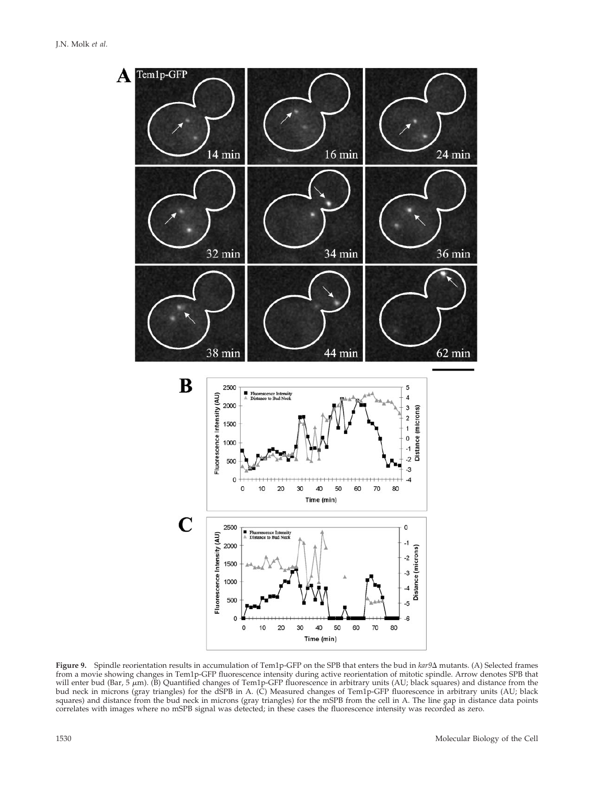

Figure 9. Spindle reorientation results in accumulation of Tem1p-GFP on the SPB that enters the bud in *kar9* $\Delta$  mutants. (A) Selected frames from a movie showing changes in Tem1p-GFP fluorescence intensity during active reorientation of mitotic spindle. Arrow denotes SPB that will enter bud (Bar, 5  $\mu$ m). (B) Quantified changes of Tem1p-GFP fluorescence in arbitrary units (AU; black squares) and distance from the bud neck in microns (gray triangles) for the dSPB in A. (C) Measured changes of Tem1p-GFP fluorescence in arbitrary units (AU; black squares) and distance from the bud neck in microns (gray triangles) for the mSPB from the cell in A. The line gap in distance data points correlates with images where no mSPB signal was detected; in these cases the fluorescence intensity was recorded as zero.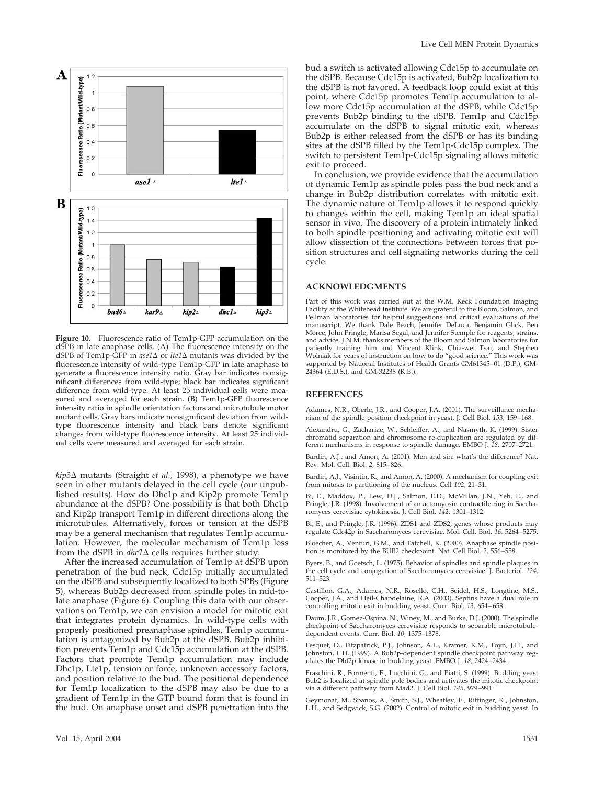

**Figure 10.** Fluorescence ratio of Tem1p-GFP accumulation on the dSPB in late anaphase cells. (A) The fluorescence intensity on the dSPB of Tem1p-GFP in *ase1*∆ or *lte1*∆ mutants was divided by the fluorescence intensity of wild-type Tem1p-GFP in late anaphase to generate a fluorescence intensity ratio. Gray bar indicates nonsignificant differences from wild-type; black bar indicates significant difference from wild-type. At least 25 individual cells were measured and averaged for each strain. (B) Tem1p-GFP fluorescence intensity ratio in spindle orientation factors and microtubule motor mutant cells. Gray bars indicate nonsignificant deviation from wildtype fluorescence intensity and black bars denote significant changes from wild-type fluorescence intensity. At least 25 individual cells were measured and averaged for each strain.

*kip3∆* mutants (Straight *et al.,* 1998), a phenotype we have seen in other mutants delayed in the cell cycle (our unpublished results). How do Dhc1p and Kip2p promote Tem1p abundance at the dSPB? One possibility is that both Dhc1p and Kip2p transport Tem1p in different directions along the microtubules. Alternatively, forces or tension at the dSPB may be a general mechanism that regulates Tem1p accumulation. However, the molecular mechanism of Tem1p loss from the dSPB in  $dhc1\Delta$  cells requires further study.

After the increased accumulation of Tem1p at dSPB upon penetration of the bud neck, Cdc15p initially accumulated on the dSPB and subsequently localized to both SPBs (Figure 5), whereas Bub2p decreased from spindle poles in mid-tolate anaphase (Figure 6). Coupling this data with our observations on Tem1p, we can envision a model for mitotic exit that integrates protein dynamics. In wild-type cells with properly positioned preanaphase spindles, Tem1p accumulation is antagonized by Bub2p at the dSPB. Bub2p inhibition prevents Tem1p and Cdc15p accumulation at the dSPB. Factors that promote Tem1p accumulation may include Dhc1p, Lte1p, tension or force, unknown accessory factors, and position relative to the bud. The positional dependence for Tem1p localization to the dSPB may also be due to a gradient of Tem1p in the GTP bound form that is found in the bud. On anaphase onset and dSPB penetration into the

bud a switch is activated allowing Cdc15p to accumulate on the dSPB. Because Cdc15p is activated, Bub2p localization to the dSPB is not favored. A feedback loop could exist at this point, where Cdc15p promotes Tem1p accumulation to allow more Cdc15p accumulation at the dSPB, while Cdc15p prevents Bub2p binding to the dSPB. Tem1p and Cdc15p accumulate on the dSPB to signal mitotic exit, whereas Bub2p is either released from the dSPB or has its binding sites at the dSPB filled by the Tem1p-Cdc15p complex. The switch to persistent Tem1p-Cdc15p signaling allows mitotic exit to proceed.

In conclusion, we provide evidence that the accumulation of dynamic Tem1p as spindle poles pass the bud neck and a change in Bub2p distribution correlates with mitotic exit. The dynamic nature of Tem1p allows it to respond quickly to changes within the cell, making Tem1p an ideal spatial sensor in vivo. The discovery of a protein intimately linked to both spindle positioning and activating mitotic exit will allow dissection of the connections between forces that position structures and cell signaling networks during the cell cycle.

#### **ACKNOWLEDGMENTS**

Part of this work was carried out at the W.M. Keck Foundation Imaging Facility at the Whitehead Institute. We are grateful to the Bloom, Salmon, and Pellman laboratories for helpful suggestions and critical evaluations of the manuscript. We thank Dale Beach, Jennifer DeLuca, Benjamin Glick, Ben Moree, John Pringle, Marisa Segal, and Jennifer Stemple for reagents, strains, and advice. J.N.M. thanks members of the Bloom and Salmon laboratories for patiently training him and Vincent Klink, Chia-wei Tsai, and Stephen Wolniak for years of instruction on how to do "good science." This work was supported by National Institutes of Health Grants GM61345–01 (D.P.), GM-24364 (E.D.S.), and GM-32238 (K.B.).

#### **REFERENCES**

Adames, N.R., Oberle, J.R., and Cooper, J.A. (2001). The surveillance mechanism of the spindle position checkpoint in yeast. J. Cell Biol. *153,* 159–168.

Alexandru, G., Zachariae, W., Schleiffer, A., and Nasmyth, K. (1999). Sister chromatid separation and chromosome re-duplication are regulated by different mechanisms in response to spindle damage. EMBO J. *18,* 2707–2721.

Bardin, A.J., and Amon, A. (2001). Men and sin: what's the difference? Nat. Rev. Mol. Cell. Biol. *2,* 815–826.

Bardin, A.J., Visintin, R., and Amon, A. (2000). A mechanism for coupling exit from mitosis to partitioning of the nucleus. Cell *102,* 21–31.

Bi, E., Maddox, P., Lew, D.J., Salmon, E.D., McMillan, J.N., Yeh, E., and Pringle, J.R. (1998). Involvement of an actomyosin contractile ring in Saccharomyces cerevisiae cytokinesis. J. Cell Biol. *142,* 1301–1312.

Bi, E., and Pringle, J.R. (1996). ZDS1 and ZDS2, genes whose products may regulate Cdc42p in Saccharomyces cerevisiae. Mol. Cell. Biol. *16,* 5264–5275.

Bloecher, A., Venturi, G.M., and Tatchell, K. (2000). Anaphase spindle position is monitored by the BUB2 checkpoint. Nat. Cell Biol. *2,* 556–558.

Byers, B., and Goetsch, L. (1975). Behavior of spindles and spindle plaques in the cell cycle and conjugation of Saccharomyces cerevisiae. J. Bacteriol. *124,* 511–523.

Castillon, G.A., Adames, N.R., Rosello, C.H., Seidel, H.S., Longtine, M.S., Cooper, J.A., and Heil-Chapdelaine, R.A. (2003). Septins have a dual role in controlling mitotic exit in budding yeast. Curr. Biol. *13,* 654–658.

Daum, J.R., Gomez-Ospina, N., Winey, M., and Burke, D.J. (2000). The spindle checkpoint of Saccharomyces cerevisiae responds to separable microtubuledependent events. Curr. Biol. *10,* 1375–1378.

Fesquet, D., Fitzpatrick, P.J., Johnson, A.L., Kramer, K.M., Toyn, J.H., and Johnston, L.H. (1999). A Bub2p-dependent spindle checkpoint pathway regulates the Dbf2p kinase in budding yeast. EMBO J. *18,* 2424–2434.

Fraschini, R., Formenti, E., Lucchini, G., and Piatti, S. (1999). Budding yeast Bub2 is localized at spindle pole bodies and activates the mitotic checkpoint via a different pathway from Mad2. J. Cell Biol. *145,* 979–991.

Geymonat, M., Spanos, A., Smith, S.J., Wheatley, E., Rittinger, K., Johnston, L.H., and Sedgwick, S.G. (2002). Control of mitotic exit in budding yeast. In